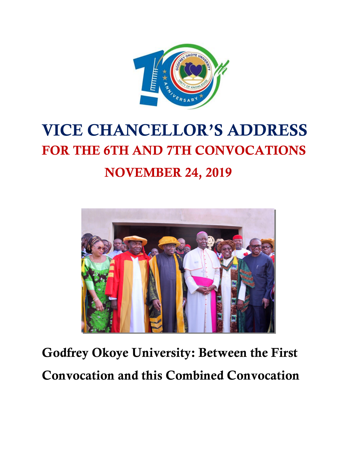

# VICE CHANCELLOR'S ADDRESS FOR THE 6TH AND 7TH CONVOCATIONS NOVEMBER 24, 2019



Godfrey Okoye University: Between the First Convocation and this Combined Convocation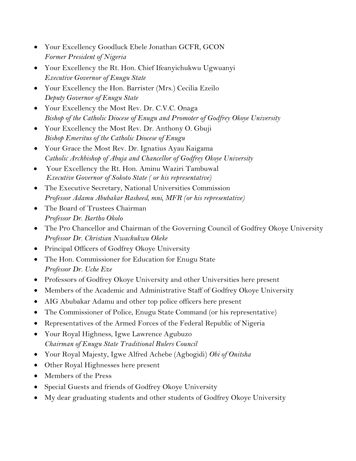- · Your Excellency Goodluck Ebele Jonathan GCFR, GCON *Former President of Nigeria*
- · Your Excellency the Rt. Hon. Chief Ifeanyichukwu Ugwuanyi *Executive Governor of Enugu State*
- · Your Excellency the Hon. Barrister (Mrs.) Cecilia Ezeilo *Deputy Governor of Enugu State*
- Your Excellency the Most Rev. Dr. C.V.C. Onaga *Bishop of the Catholic Diocese of Enugu and Promoter of Godfrey Okoye University*
- · Your Excellency the Most Rev. Dr. Anthony O. Gbuji *Bishop Emeritus of the Catholic Diocese of Enugu*
- · Your Grace the Most Rev. Dr. Ignatius Ayau Kaigama *Catholic Archbishop of Abuja and Chancellor of Godfrey Okoye University*
- · Your Excellency the Rt. Hon. Aminu Waziri Tambuwal *Executive Governor of Sokoto State ( or his representative)*
- · The Executive Secretary, National Universities Commission *Professor Adamu Abubakar Rasheed, mni, MFR (or his representative)*
- · The Board of Trustees Chairman *Professor Dr. Bartho Okolo*
- · The Pro Chancellor and Chairman of the Governing Council of Godfrey Okoye University *Professor Dr. Christian Nwachukwu Okeke*
- · Principal Officers of Godfrey Okoye University
- The Hon. Commissioner for Education for Enugu State *Professor Dr. Uche Eze*
- · Professors of Godfrey Okoye University and other Universities here present
- · Members of the Academic and Administrative Staff of Godfrey Okoye University
- AIG Abubakar Adamu and other top police officers here present
- The Commissioner of Police, Enugu State Command (or his representative)
- · Representatives of the Armed Forces of the Federal Republic of Nigeria
- · Your Royal Highness, Igwe Lawrence Agubuzo *Chairman of Enugu State Traditional Rulers Council*
- · Your Royal Majesty, Igwe Alfred Achebe (Agbogidi) *Obi of Onitsha*
- Other Royal Highnesses here present
- · Members of the Press
- · Special Guests and friends of Godfrey Okoye University
- · My dear graduating students and other students of Godfrey Okoye University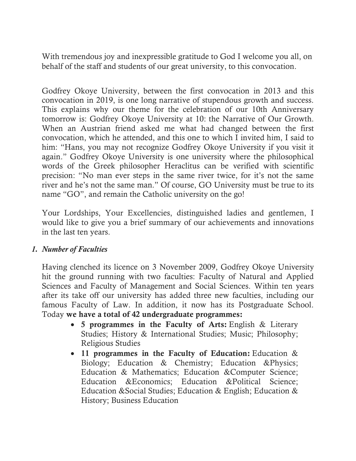With tremendous joy and inexpressible gratitude to God I welcome you all, on behalf of the staff and students of our great university, to this convocation.

Godfrey Okoye University, between the first convocation in 2013 and this convocation in 2019, is one long narrative of stupendous growth and success. This explains why our theme for the celebration of our 10th Anniversary tomorrow is: Godfrey Okoye University at 10: the Narrative of Our Growth. When an Austrian friend asked me what had changed between the first convocation, which he attended, and this one to which I invited him, I said to him: "Hans, you may not recognize Godfrey Okoye University if you visit it again." Godfrey Okoye University is one university where the philosophical words of the Greek philosopher Heraclitus can be verified with scientific precision: "No man ever steps in the same river twice, for it's not the same river and he's not the same man." Of course, GO University must be true to its name "GO", and remain the Catholic university on the go!

Your Lordships, Your Excellencies, distinguished ladies and gentlemen, I would like to give you a brief summary of our achievements and innovations in the last ten years.

### *1. Number of Faculties*

Having clenched its licence on 3 November 2009, Godfrey Okoye University hit the ground running with two faculties: Faculty of Natural and Applied Sciences and Faculty of Management and Social Sciences. Within ten years after its take off our university has added three new faculties, including our famous Faculty of Law. In addition, it now has its Postgraduate School. Today we have a total of 42 undergraduate programmes:

- · 5 programmes in the Faculty of Arts: English & Literary Studies; History & International Studies; Music; Philosophy; Religious Studies
- · 11 programmes in the Faculty of Education: Education & Biology; Education & Chemistry; Education &Physics; Education & Mathematics; Education &Computer Science; Education &Economics; Education &Political Science; Education &Social Studies; Education & English; Education & History; Business Education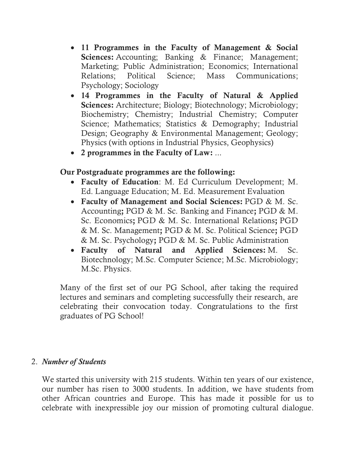- 11 Programmes in the Faculty of Management & Social Sciences: Accounting; Banking & Finance; Management; Marketing; Public Administration; Economics; International Relations; Political Science; Mass Communications; Psychology; Sociology
- · 14 Programmes in the Faculty of Natural & Applied Sciences: Architecture; Biology; Biotechnology; Microbiology; Biochemistry; Chemistry; Industrial Chemistry; Computer Science; Mathematics; Statistics & Demography; Industrial Design; Geography & Environmental Management; Geology; Physics (with options in Industrial Physics, Geophysics)
- · 2 programmes in the Faculty of Law: ...

## Our Postgraduate programmes are the following:

- · Faculty of Education: M. Ed Curriculum Development; M. Ed. Language Education; M. Ed. Measurement Evaluation
- · Faculty of Management and Social Sciences: PGD & M. Sc. Accounting; PGD & M. Sc. Banking and Finance; PGD & M. Sc. Economics; PGD & M. Sc. International Relations; PGD & M. Sc. Management; PGD & M. Sc. Political Science; PGD & M. Sc. Psychology; PGD & M. Sc. Public Administration
- · Faculty of Natural and Applied Sciences: M. Sc. Biotechnology; M.Sc. Computer Science; M.Sc. Microbiology; M.Sc. Physics.

Many of the first set of our PG School, after taking the required lectures and seminars and completing successfully their research, are celebrating their convocation today. Congratulations to the first graduates of PG School!

#### 2. *Number of Students*

We started this university with 215 students. Within ten years of our existence, our number has risen to 3000 students. In addition, we have students from other African countries and Europe. This has made it possible for us to celebrate with inexpressible joy our mission of promoting cultural dialogue.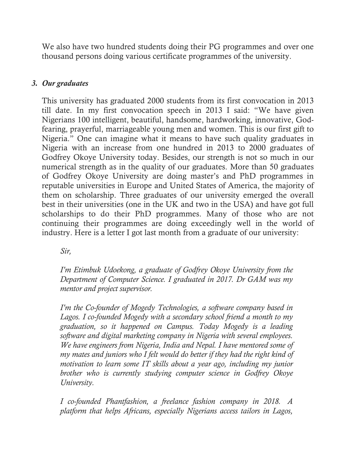We also have two hundred students doing their PG programmes and over one thousand persons doing various certificate programmes of the university.

#### *3. Our graduates*

This university has graduated 2000 students from its first convocation in 2013 till date. In my first convocation speech in 2013 I said: "We have given Nigerians 100 intelligent, beautiful, handsome, hardworking, innovative, Godfearing, prayerful, marriageable young men and women. This is our first gift to Nigeria." One can imagine what it means to have such quality graduates in Nigeria with an increase from one hundred in 2013 to 2000 graduates of Godfrey Okoye University today. Besides, our strength is not so much in our numerical strength as in the quality of our graduates. More than 50 graduates of Godfrey Okoye University are doing master's and PhD programmes in reputable universities in Europe and United States of America, the majority of them on scholarship. Three graduates of our university emerged the overall best in their universities (one in the UK and two in the USA) and have got full scholarships to do their PhD programmes. Many of those who are not continuing their programmes are doing exceedingly well in the world of industry. Here is a letter I got last month from a graduate of our university:

*Sir,*

*I'm Etimbuk Udoekong, a graduate of Godfrey Okoye University from the Department of Computer Science. I graduated in 2017. Dr GAM was my mentor and project supervisor.*

*I'm the Co-founder of Mogedy Technologies, a software company based in Lagos. I co-founded Mogedy with a secondary school friend a month to my graduation, so it happened on Campus. Today Mogedy is a leading software and digital marketing company in Nigeria with several employees. We have engineers from Nigeria, India and Nepal. I have mentored some of my mates and juniors who I felt would do better if they had the right kind of motivation to learn some IT skills about a year ago, including my junior brother who is currently studying computer science in Godfrey Okoye University.* 

*I co-founded Phantfashion, a freelance fashion company in 2018. A platform that helps Africans, especially Nigerians access tailors in Lagos,*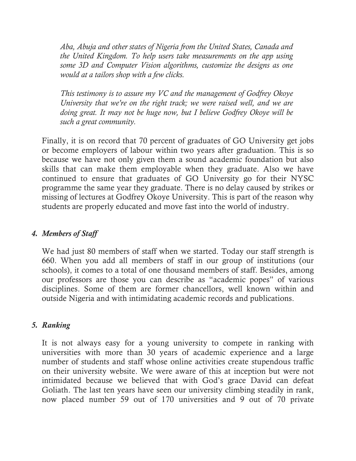*Aba, Abuja and other states of Nigeria from the United States, Canada and the United Kingdom. To help users take measurements on the app using some 3D and Computer Vision algorithms, customize the designs as one would at a tailors shop with a few clicks.*

*This testimony is to assure my VC and the management of Godfrey Okoye University that we're on the right track; we were raised well, and we are doing great. It may not be huge now, but I believe Godfrey Okoye will be such a great community.*

Finally, it is on record that 70 percent of graduates of GO University get jobs or become employers of labour within two years after graduation. This is so because we have not only given them a sound academic foundation but also skills that can make them employable when they graduate. Also we have continued to ensure that graduates of GO University go for their NYSC programme the same year they graduate. There is no delay caused by strikes or missing of lectures at Godfrey Okoye University. This is part of the reason why students are properly educated and move fast into the world of industry.

### *4. Members of Staff*

We had just 80 members of staff when we started. Today our staff strength is 660. When you add all members of staff in our group of institutions (our schools), it comes to a total of one thousand members of staff. Besides, among our professors are those you can describe as "academic popes" of various disciplines. Some of them are former chancellors, well known within and outside Nigeria and with intimidating academic records and publications.

#### *5. Ranking*

It is not always easy for a young university to compete in ranking with universities with more than 30 years of academic experience and a large number of students and staff whose online activities create stupendous traffic on their university website. We were aware of this at inception but were not intimidated because we believed that with God's grace David can defeat Goliath. The last ten years have seen our university climbing steadily in rank, now placed number 59 out of 170 universities and 9 out of 70 private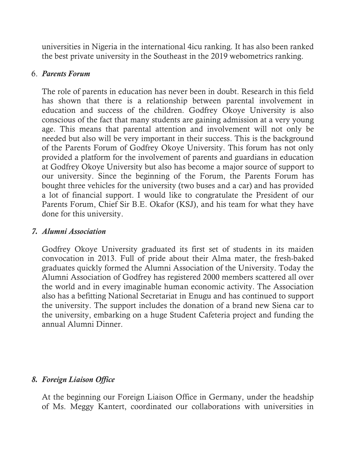universities in Nigeria in the international 4icu ranking. It has also been ranked the best private university in the Southeast in the 2019 webometrics ranking.

#### 6. *Parents Forum*

The role of parents in education has never been in doubt. Research in this field has shown that there is a relationship between parental involvement in education and success of the children. Godfrey Okoye University is also conscious of the fact that many students are gaining admission at a very young age. This means that parental attention and involvement will not only be needed but also will be very important in their success. This is the background of the Parents Forum of Godfrey Okoye University. This forum has not only provided a platform for the involvement of parents and guardians in education at Godfrey Okoye University but also has become a major source of support to our university. Since the beginning of the Forum, the Parents Forum has bought three vehicles for the university (two buses and a car) and has provided a lot of financial support. I would like to congratulate the President of our Parents Forum, Chief Sir B.E. Okafor (KSJ), and his team for what they have done for this university.

#### *7. Alumni Association*

Godfrey Okoye University graduated its first set of students in its maiden convocation in 2013. Full of pride about their Alma mater, the fresh-baked graduates quickly formed the Alumni Association of the University. Today the Alumni Association of Godfrey has registered 2000 members scattered all over the world and in every imaginable human economic activity. The Association also has a befitting National Secretariat in Enugu and has continued to support the university. The support includes the donation of a brand new Siena car to the university, embarking on a huge Student Cafeteria project and funding the annual Alumni Dinner.

#### *8. Foreign Liaison Office*

At the beginning our Foreign Liaison Office in Germany, under the headship of Ms. Meggy Kantert, coordinated our collaborations with universities in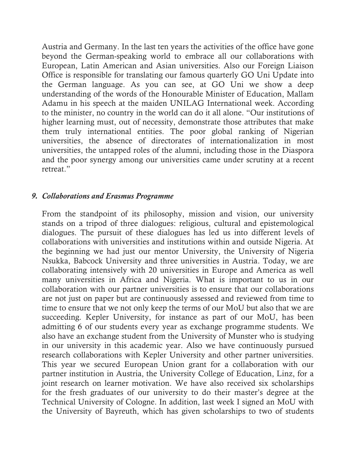Austria and Germany. In the last ten years the activities of the office have gone beyond the German-speaking world to embrace all our collaborations with European, Latin American and Asian universities. Also our Foreign Liaison Office is responsible for translating our famous quarterly GO Uni Update into the German language. As you can see, at GO Uni we show a deep understanding of the words of the Honourable Minister of Education, Mallam Adamu in his speech at the maiden UNILAG International week. According to the minister, no country in the world can do it all alone. "Our institutions of higher learning must, out of necessity, demonstrate those attributes that make them truly international entities. The poor global ranking of Nigerian universities, the absence of directorates of internationalization in most universities, the untapped roles of the alumni, including those in the Diaspora and the poor synergy among our universities came under scrutiny at a recent retreat."

#### *9. Collaborations and Erasmus Programme*

From the standpoint of its philosophy, mission and vision, our university stands on a tripod of three dialogues: religious, cultural and epistemological dialogues. The pursuit of these dialogues has led us into different levels of collaborations with universities and institutions within and outside Nigeria. At the beginning we had just our mentor University, the University of Nigeria Nsukka, Babcock University and three universities in Austria. Today, we are collaborating intensively with 20 universities in Europe and America as well many universities in Africa and Nigeria. What is important to us in our collaboration with our partner universities is to ensure that our collaborations are not just on paper but are continuously assessed and reviewed from time to time to ensure that we not only keep the terms of our MoU but also that we are succeeding. Kepler University, for instance as part of our MoU, has been admitting 6 of our students every year as exchange programme students. We also have an exchange student from the University of Munster who is studying in our university in this academic year. Also we have continuously pursued research collaborations with Kepler University and other partner universities. This year we secured European Union grant for a collaboration with our partner institution in Austria, the University College of Education, Linz, for a joint research on learner motivation. We have also received six scholarships for the fresh graduates of our university to do their master's degree at the Technical University of Cologne. In addition, last week I signed an MoU with the University of Bayreuth, which has given scholarships to two of students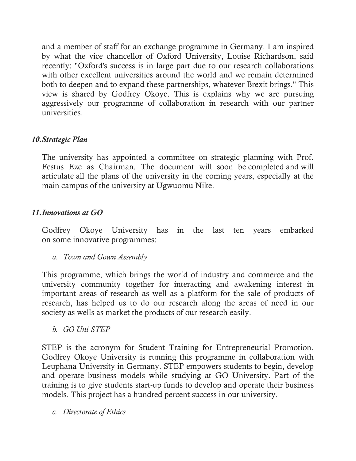and a member of staff for an exchange programme in Germany. I am inspired by what the vice chancellor of Oxford University, Louise Richardson, said recently: "Oxford's success is in large part due to our research collaborations with other excellent universities around the world and we remain determined both to deepen and to expand these partnerships, whatever Brexit brings." This view is shared by Godfrey Okoye. This is explains why we are pursuing aggressively our programme of collaboration in research with our partner universities.

## *10.Strategic Plan*

The university has appointed a committee on strategic planning with Prof. Festus Eze as Chairman. The document will soon be completed and will articulate all the plans of the university in the coming years, especially at the main campus of the university at Ugwuomu Nike.

## *11.Innovations at GO*

Godfrey Okoye University has in the last ten years embarked on some innovative programmes:

*a. Town and Gown Assembly*

This programme, which brings the world of industry and commerce and the university community together for interacting and awakening interest in important areas of research as well as a platform for the sale of products of research, has helped us to do our research along the areas of need in our society as wells as market the products of our research easily.

*b. GO Uni STEP*

STEP is the acronym for Student Training for Entrepreneurial Promotion. Godfrey Okoye University is running this programme in collaboration with Leuphana University in Germany. STEP empowers students to begin, develop and operate business models while studying at GO University. Part of the training is to give students start-up funds to develop and operate their business models. This project has a hundred percent success in our university.

*c. Directorate of Ethics*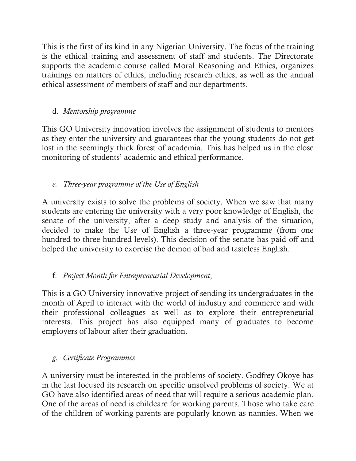This is the first of its kind in any Nigerian University. The focus of the training is the ethical training and assessment of staff and students. The Directorate supports the academic course called Moral Reasoning and Ethics, organizes trainings on matters of ethics, including research ethics, as well as the annual ethical assessment of members of staff and our departments.

# d. *Mentorship programme*

This GO University innovation involves the assignment of students to mentors as they enter the university and guarantees that the young students do not get lost in the seemingly thick forest of academia. This has helped us in the close monitoring of students' academic and ethical performance.

# *e. Three-year programme of the Use of English*

A university exists to solve the problems of society. When we saw that many students are entering the university with a very poor knowledge of English, the senate of the university, after a deep study and analysis of the situation, decided to make the Use of English a three-year programme (from one hundred to three hundred levels). This decision of the senate has paid off and helped the university to exorcise the demon of bad and tasteless English.

# f. *Project Month for Entrepreneurial Development*,

This is a GO University innovative project of sending its undergraduates in the month of April to interact with the world of industry and commerce and with their professional colleagues as well as to explore their entrepreneurial interests. This project has also equipped many of graduates to become employers of labour after their graduation.

# *g. Certificate Programmes*

A university must be interested in the problems of society. Godfrey Okoye has in the last focused its research on specific unsolved problems of society. We at GO have also identified areas of need that will require a serious academic plan. One of the areas of need is childcare for working parents. Those who take care of the children of working parents are popularly known as nannies. When we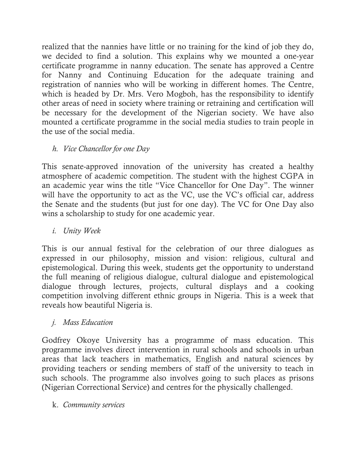realized that the nannies have little or no training for the kind of job they do, we decided to find a solution. This explains why we mounted a one-year certificate programme in nanny education. The senate has approved a Centre for Nanny and Continuing Education for the adequate training and registration of nannies who will be working in different homes. The Centre, which is headed by Dr. Mrs. Vero Mogboh, has the responsibility to identify other areas of need in society where training or retraining and certification will be necessary for the development of the Nigerian society. We have also mounted a certificate programme in the social media studies to train people in the use of the social media.

## *h. Vice Chancellor for one Day*

This senate-approved innovation of the university has created a healthy atmosphere of academic competition. The student with the highest CGPA in an academic year wins the title "Vice Chancellor for One Day". The winner will have the opportunity to act as the VC, use the VC's official car, address the Senate and the students (but just for one day). The VC for One Day also wins a scholarship to study for one academic year.

*i. Unity Week*

This is our annual festival for the celebration of our three dialogues as expressed in our philosophy, mission and vision: religious, cultural and epistemological. During this week, students get the opportunity to understand the full meaning of religious dialogue, cultural dialogue and epistemological dialogue through lectures, projects, cultural displays and a cooking competition involving different ethnic groups in Nigeria. This is a week that reveals how beautiful Nigeria is.

## *j. Mass Education*

Godfrey Okoye University has a programme of mass education. This programme involves direct intervention in rural schools and schools in urban areas that lack teachers in mathematics, English and natural sciences by providing teachers or sending members of staff of the university to teach in such schools. The programme also involves going to such places as prisons (Nigerian Correctional Service) and centres for the physically challenged.

k. *Community services*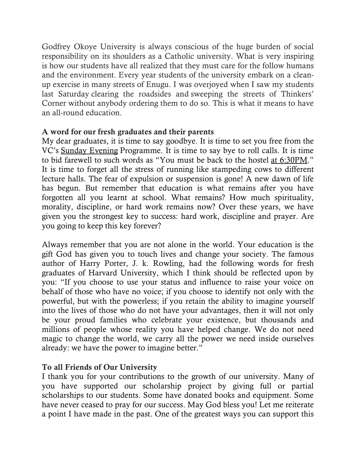Godfrey Okoye University is always conscious of the huge burden of social responsibility on its shoulders as a Catholic university. What is very inspiring is how our students have all realized that they must care for the follow humans and the environment. Every year students of the university embark on a cleanup exercise in many streets of Enugu. I was overjoyed when I saw my students last Saturday clearing the roadsides and sweeping the streets of Thinkers' Corner without anybody ordering them to do so. This is what it means to have an all-round education.

### A word for our fresh graduates and their parents

My dear graduates, it is time to say goodbye. It is time to set you free from the VC's Sunday Evening Programme. It is time to say bye to roll calls. It is time to bid farewell to such words as "You must be back to the hostel at 6:30PM." It is time to forget all the stress of running like stampeding cows to different lecture halls. The fear of expulsion or suspension is gone! A new dawn of life has begun. But remember that education is what remains after you have forgotten all you learnt at school. What remains? How much spirituality, morality, discipline, or hard work remains now? Over these years, we have given you the strongest key to success: hard work, discipline and prayer. Are you going to keep this key forever?

Always remember that you are not alone in the world. Your education is the gift God has given you to touch lives and change your society. The famous author of Harry Porter, J. k. Rowling, had the following words for fresh graduates of Harvard University, which I think should be reflected upon by you: "If you choose to use your status and influence to raise your voice on behalf of those who have no voice; if you choose to identify not only with the powerful, but with the powerless; if you retain the ability to imagine yourself into the lives of those who do not have your advantages, then it will not only be your proud families who celebrate your existence, but thousands and millions of people whose reality you have helped change. We do not need magic to change the world, we carry all the power we need inside ourselves already: we have the power to imagine better."

## To all Friends of Our University

I thank you for your contributions to the growth of our university. Many of you have supported our scholarship project by giving full or partial scholarships to our students. Some have donated books and equipment. Some have never ceased to pray for our success. May God bless you! Let me reiterate a point I have made in the past. One of the greatest ways you can support this